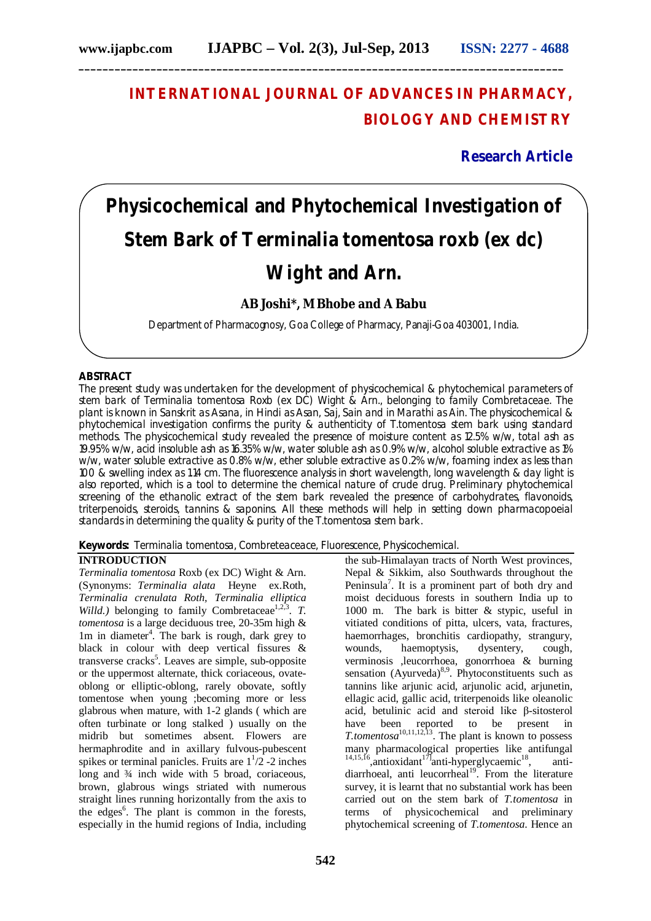# **INTERNATIONAL JOURNAL OF ADVANCES IN PHARMACY, BIOLOGY AND CHEMISTRY**

# **Research Article**

# **Physicochemical and Phytochemical Investigation of Stem Bark of** *Terminalia tomentosa* **roxb (ex dc) Wight and Arn.**

# **AB Joshi\*, M Bhobe and A Babu**

Department of Pharmacognosy, Goa College of Pharmacy, Panaji-Goa 403001, India.

# **ABSTRACT**

The present study was undertaken for the development of physicochemical & phytochemical parameters of stem bark of *Terminalia tomentosa* Roxb (ex DC) Wight & Arn., belonging to family Combretaceae. The plant is known in Sanskrit as Asana, in Hindi as Asan, Saj, Sain and in Marathi as Ain. The physicochemical & phytochemical investigation confirms the purity & authenticity of *T.tomentosa* stem bark using standard methods. The physicochemical study revealed the presence of moisture content as 12.5% w/w, total ash as 19.95% w/w, acid insoluble ash as 16.35% w/w, water soluble ash as 0.9% w/w, alcohol soluble extractive as 1% w/w, water soluble extractive as 0.8% w/w, ether soluble extractive as 0.2% w/w, foaming index as less than 100 & swelling index as 1.14 cm. The fluorescence analysis in short wavelength, long wavelength & day light is also reported, which is a tool to determine the chemical nature of crude drug. Preliminary phytochemical screening of the ethanolic extract of the stem bark revealed the presence of carbohydrates, flavonoids, triterpenoids, steroids, tannins & saponins. All these methods will help in setting down pharmacopoeial standards in determining the quality & purity of the *T.tomentosa* stem bark.

# **Keywords:** *Terminalia tomentosa*, Combreteaceace, Fluorescence, Physicochemical.

### **INTRODUCTION**

*Terminalia tomentosa* Roxb (ex DC) Wight & Arn. (Synonyms: *Terminalia alata* Heyne ex.Roth, *Terminalia crenulata Roth, Terminalia elliptica*  Willd.) belonging to family Combretaceae<sup>1,2,3</sup>. T. *tomentosa* is a large deciduous tree, 20-35m high & 1m in diameter<sup>4</sup>. The bark is rough, dark grey to black in colour with deep vertical fissures & transverse cracks<sup>5</sup>. Leaves are simple, sub-opposite or the uppermost alternate, thick coriaceous, ovateoblong or elliptic-oblong, rarely obovate, softly tomentose when young ;becoming more or less glabrous when mature, with 1-2 glands ( which are often turbinate or long stalked ) usually on the midrib but sometimes absent. Flowers are hermaphrodite and in axillary fulvous-pubescent spikes or terminal panicles. Fruits are  $1<sup>1</sup>/2$  -2 inches long and  $\frac{3}{4}$  inch wide with 5 broad, coriaceous, brown, glabrous wings striated with numerous straight lines running horizontally from the axis to the edges<sup>6</sup>. The plant is common in the forests, especially in the humid regions of India, including

the sub-Himalayan tracts of North West provinces, Nepal & Sikkim, also Southwards throughout the Peninsula<sup>7</sup>. It is a prominent part of both dry and moist deciduous forests in southern India up to 1000 m. The bark is bitter & stypic, useful in vitiated conditions of pitta, ulcers, vata, fractures, haemorrhages, bronchitis cardiopathy, strangury, wounds, haemoptysis, dysentery, cough, verminosis ,leucorrhoea, gonorrhoea & burning sensation (Ayurveda)<sup>8,9</sup>. Phytoconstituents such as tannins like arjunic acid, arjunolic acid, arjunetin, ellagic acid, gallic acid, triterpenoids like oleanolic acid, betulinic acid and steroid like β-sitosterol have been reported to be present in *T.tomentosa*<sup>10,11,12,13</sup>. The plant is known to possess many pharmacological properties like antifungal  $14,15,16$ , antioxidant<sup>17</sup> anti-hyperglycaemic<sup>18</sup> , antidiarrhoeal, anti-leucorrheal<sup>19</sup>. From the literature survey, it is learnt that no substantial work has been carried out on the stem bark of *T.tomentosa* in terms of physicochemical and preliminary physicochemical and preliminary phytochemical screening of *T.tomentosa*. Hence an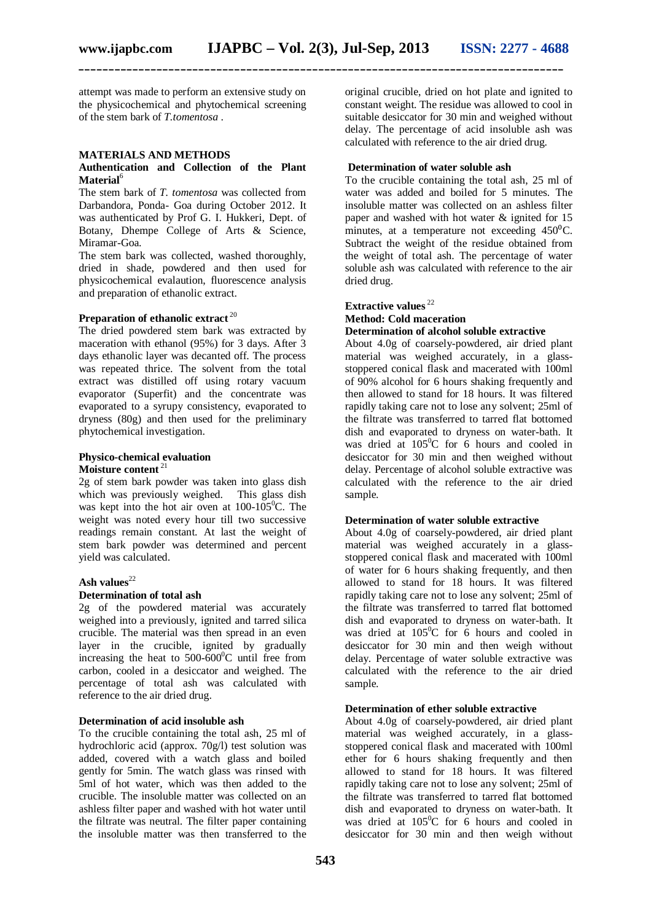**\_\_\_\_\_\_\_\_\_\_\_\_\_\_\_\_\_\_\_\_\_\_\_\_\_\_\_\_\_\_\_\_\_\_\_\_\_\_\_\_\_\_\_\_\_\_\_\_\_\_\_\_\_\_\_\_\_\_\_\_\_\_\_\_\_\_\_\_\_\_\_\_\_\_\_\_\_\_\_\_\_**

attempt was made to perform an extensive study on the physicochemical and phytochemical screening of the stem bark of *T.tomentosa* .

### **MATERIALS AND METHODS**

#### **Authentication and Collection of the Plant Material**<sup>6</sup>

The stem bark of *T. tomentosa* was collected from Darbandora, Ponda- Goa during October 2012. It was authenticated by Prof G. I. Hukkeri, Dept. of Botany, Dhempe College of Arts & Science, Miramar-Goa.

The stem bark was collected, washed thoroughly, dried in shade, powdered and then used for physicochemical evalaution, fluorescence analysis and preparation of ethanolic extract.

# **Preparation of ethanolic extract** <sup>20</sup>

The dried powdered stem bark was extracted by maceration with ethanol (95%) for 3 days. After 3 days ethanolic layer was decanted off. The process was repeated thrice. The solvent from the total extract was distilled off using rotary vacuum evaporator (Superfit) and the concentrate was evaporated to a syrupy consistency, evaporated to dryness (80g) and then used for the preliminary phytochemical investigation.

#### **Physico-chemical evaluation Moisture content** <sup>21</sup>

2g of stem bark powder was taken into glass dish which was previously weighed. This glass dish was kept into the hot air oven at  $100-105^{\circ}$ C. The weight was noted every hour till two successive readings remain constant. At last the weight of stem bark powder was determined and percent yield was calculated.

# Ash **values**<sup>22</sup>

#### **Determination of total ash**

2g of the powdered material was accurately weighed into a previously, ignited and tarred silica crucible. The material was then spread in an even layer in the crucible, ignited by gradually increasing the heat to  $500-600^{\circ}$ C until free from carbon, cooled in a desiccator and weighed. The percentage of total ash was calculated with reference to the air dried drug.

#### **Determination of acid insoluble ash**

To the crucible containing the total ash, 25 ml of hydrochloric acid (approx. 70g/l) test solution was added, covered with a watch glass and boiled gently for 5min. The watch glass was rinsed with 5ml of hot water, which was then added to the crucible. The insoluble matter was collected on an ashless filter paper and washed with hot water until the filtrate was neutral. The filter paper containing the insoluble matter was then transferred to the original crucible, dried on hot plate and ignited to constant weight. The residue was allowed to cool in suitable desiccator for 30 min and weighed without delay. The percentage of acid insoluble ash was calculated with reference to the air dried drug.

#### **Determination of water soluble ash**

To the crucible containing the total ash, 25 ml of water was added and boiled for 5 minutes. The insoluble matter was collected on an ashless filter paper and washed with hot water & ignited for 15 minutes, at a temperature not exceeding  $450^{\circ}$ C. Subtract the weight of the residue obtained from the weight of total ash. The percentage of water soluble ash was calculated with reference to the air dried drug.

# **Extractive values** <sup>22</sup>

# **Method: Cold maceration**

# **Determination of alcohol soluble extractive**

About 4.0g of coarsely-powdered, air dried plant material was weighed accurately, in a glassstoppered conical flask and macerated with 100ml of 90% alcohol for 6 hours shaking frequently and then allowed to stand for 18 hours. It was filtered rapidly taking care not to lose any solvent; 25ml of the filtrate was transferred to tarred flat bottomed dish and evaporated to dryness on water-bath. It was dried at  $105^{\circ}$ C for 6 hours and cooled in desiccator for 30 min and then weighed without delay. Percentage of alcohol soluble extractive was calculated with the reference to the air dried sample.

# **Determination of water soluble extractive**

About 4.0g of coarsely-powdered, air dried plant material was weighed accurately in a glassstoppered conical flask and macerated with 100ml of water for 6 hours shaking frequently, and then allowed to stand for 18 hours. It was filtered rapidly taking care not to lose any solvent; 25ml of the filtrate was transferred to tarred flat bottomed dish and evaporated to dryness on water-bath. It was dried at  $105^{\circ}$ C for 6 hours and cooled in desiccator for 30 min and then weigh without delay. Percentage of water soluble extractive was calculated with the reference to the air dried sample.

#### **Determination of ether soluble extractive**

About 4.0g of coarsely-powdered, air dried plant material was weighed accurately, in a glassstoppered conical flask and macerated with 100ml ether for 6 hours shaking frequently and then allowed to stand for 18 hours. It was filtered rapidly taking care not to lose any solvent; 25ml of the filtrate was transferred to tarred flat bottomed dish and evaporated to dryness on water-bath. It was dried at  $105^{\circ}$ C for 6 hours and cooled in desiccator for 30 min and then weigh without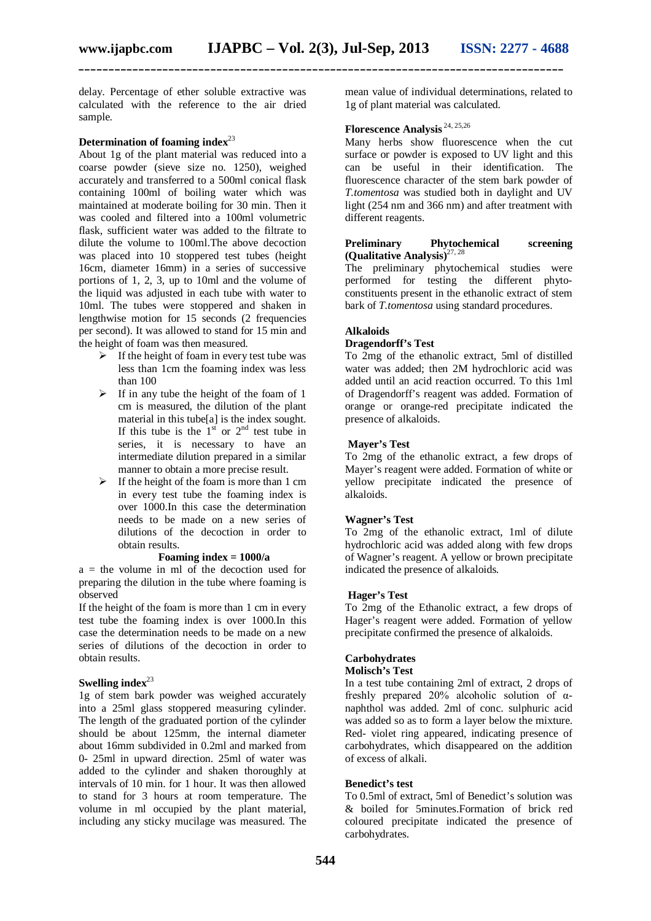**\_\_\_\_\_\_\_\_\_\_\_\_\_\_\_\_\_\_\_\_\_\_\_\_\_\_\_\_\_\_\_\_\_\_\_\_\_\_\_\_\_\_\_\_\_\_\_\_\_\_\_\_\_\_\_\_\_\_\_\_\_\_\_\_\_\_\_\_\_\_\_\_\_\_\_\_\_\_\_\_\_**

delay. Percentage of ether soluble extractive was calculated with the reference to the air dried sample.

# **Determination of foaming index**<sup>23</sup>

About 1g of the plant material was reduced into a coarse powder (sieve size no. 1250), weighed accurately and transferred to a 500ml conical flask containing 100ml of boiling water which was maintained at moderate boiling for 30 min. Then it was cooled and filtered into a 100ml volumetric flask, sufficient water was added to the filtrate to dilute the volume to 100ml.The above decoction was placed into 10 stoppered test tubes (height 16cm, diameter 16mm) in a series of successive portions of 1, 2, 3, up to 10ml and the volume of the liquid was adjusted in each tube with water to 10ml. The tubes were stoppered and shaken in lengthwise motion for 15 seconds (2 frequencies per second). It was allowed to stand for 15 min and the height of foam was then measured.

- $\triangleright$  If the height of foam in every test tube was less than 1cm the foaming index was less than 100
- $\triangleright$  If in any tube the height of the foam of 1 cm is measured, the dilution of the plant material in this tube[a] is the index sought. If this tube is the  $1<sup>st</sup>$  or  $2<sup>nd</sup>$  test tube in series, it is necessary to have an intermediate dilution prepared in a similar manner to obtain a more precise result.
- $\triangleright$  If the height of the foam is more than 1 cm in every test tube the foaming index is over 1000.In this case the determination needs to be made on a new series of dilutions of the decoction in order to obtain results.

# **Foaming index = 1000/a**

 $a =$  the volume in ml of the decoction used for preparing the dilution in the tube where foaming is observed

If the height of the foam is more than 1 cm in every test tube the foaming index is over 1000.In this case the determination needs to be made on a new series of dilutions of the decoction in order to obtain results.

# Swelling index<sup>23</sup>

1g of stem bark powder was weighed accurately into a 25ml glass stoppered measuring cylinder. The length of the graduated portion of the cylinder should be about 125mm, the internal diameter about 16mm subdivided in 0.2ml and marked from 0- 25ml in upward direction. 25ml of water was added to the cylinder and shaken thoroughly at intervals of 10 min. for 1 hour. It was then allowed to stand for 3 hours at room temperature. The volume in ml occupied by the plant material, including any sticky mucilage was measured. The

mean value of individual determinations, related to 1g of plant material was calculated.

# **Florescence Analysis** 24, 25,26

Many herbs show fluorescence when the cut surface or powder is exposed to UV light and this can be useful in their identification. The fluorescence character of the stem bark powder of *T.tomentosa* was studied both in daylight and UV light (254 nm and 366 nm) and after treatment with different reagents.

# **Preliminary Phytochemical screening (Qualitative Analysis)** 27, 28

The preliminary phytochemical studies were performed for testing the different phytoconstituents present in the ethanolic extract of stem bark of *T.tomentosa* using standard procedures.

# **Alkaloids**

#### **Dragendorff's Test**

To 2mg of the ethanolic extract, 5ml of distilled water was added; then 2M hydrochloric acid was added until an acid reaction occurred. To this 1ml of Dragendorff's reagent was added. Formation of orange or orange-red precipitate indicated the presence of alkaloids.

# **Mayer's Test**

To 2mg of the ethanolic extract, a few drops of Mayer's reagent were added. Formation of white or yellow precipitate indicated the presence of alkaloids.

# **Wagner's Test**

To 2mg of the ethanolic extract, 1ml of dilute hydrochloric acid was added along with few drops of Wagner's reagent. A yellow or brown precipitate indicated the presence of alkaloids.

#### **Hager's Test**

To 2mg of the Ethanolic extract, a few drops of Hager's reagent were added. Formation of yellow precipitate confirmed the presence of alkaloids.

# **Carbohydrates**

# **Molisch's Test**

In a test tube containing 2ml of extract, 2 drops of freshly prepared 20% alcoholic solution of αnaphthol was added. 2ml of conc. sulphuric acid was added so as to form a layer below the mixture. Red- violet ring appeared, indicating presence of carbohydrates, which disappeared on the addition of excess of alkali.

## **Benedict's test**

To 0.5ml of extract, 5ml of Benedict's solution was & boiled for 5minutes.Formation of brick red coloured precipitate indicated the presence of carbohydrates.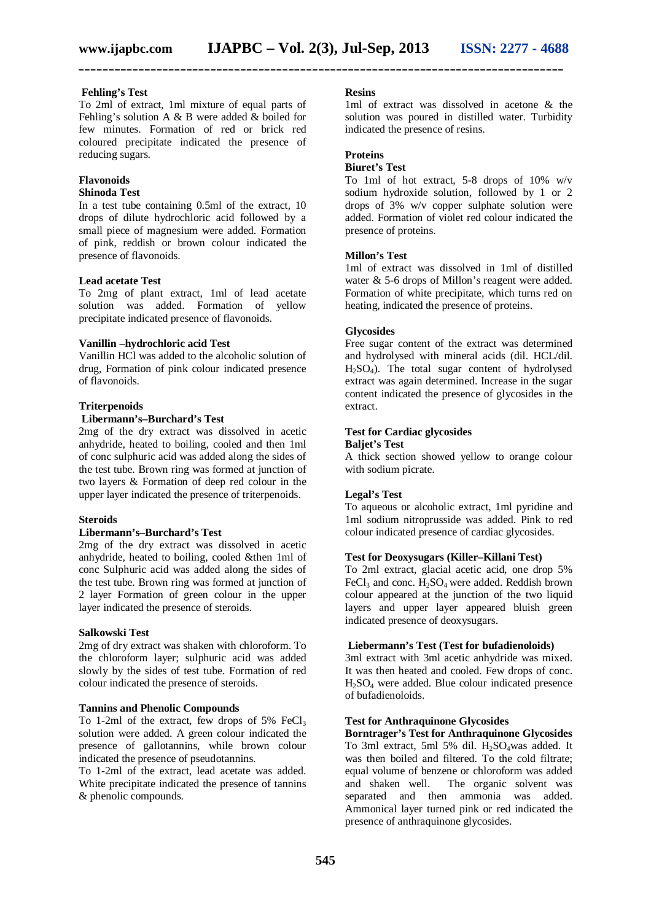# **Fehling's Test**

To 2ml of extract, 1ml mixture of equal parts of Fehling's solution A & B were added & boiled for few minutes. Formation of red or brick red coloured precipitate indicated the presence of reducing sugars.

#### **Flavonoids**

#### **Shinoda Test**

In a test tube containing 0.5ml of the extract, 10 drops of dilute hydrochloric acid followed by a small piece of magnesium were added. Formation of pink, reddish or brown colour indicated the presence of flavonoids.

# **Lead acetate Test**

To 2mg of plant extract, 1ml of lead acetate solution was added. Formation of yellow precipitate indicated presence of flavonoids.

#### **Vanillin –hydrochloric acid Test**

Vanillin HCl was added to the alcoholic solution of drug, Formation of pink colour indicated presence of flavonoids.

#### **Triterpenoids**

#### **Libermann's–Burchard's Test**

2mg of the dry extract was dissolved in acetic anhydride, heated to boiling, cooled and then 1ml of conc sulphuric acid was added along the sides of the test tube. Brown ring was formed at junction of two layers & Formation of deep red colour in the upper layer indicated the presence of triterpenoids.

#### **Steroids**

#### **Libermann's–Burchard's Test**

2mg of the dry extract was dissolved in acetic anhydride, heated to boiling, cooled &then 1ml of conc Sulphuric acid was added along the sides of the test tube. Brown ring was formed at junction of 2 layer Formation of green colour in the upper layer indicated the presence of steroids.

# **Salkowski Test**

2mg of dry extract was shaken with chloroform. To the chloroform layer; sulphuric acid was added slowly by the sides of test tube. Formation of red colour indicated the presence of steroids.

# **Tannins and Phenolic Compounds**

To 1-2ml of the extract, few drops of  $5\%$  FeCl<sub>3</sub> solution were added. A green colour indicated the presence of gallotannins, while brown colour indicated the presence of pseudotannins.

To 1-2ml of the extract, lead acetate was added. White precipitate indicated the presence of tannins & phenolic compounds.

### **Resins**

1ml of extract was dissolved in acetone & the solution was poured in distilled water. Turbidity indicated the presence of resins.

# **Proteins**

#### **Biuret's Test**

To 1ml of hot extract, 5-8 drops of 10% w/v sodium hydroxide solution, followed by 1 or 2 drops of 3% w/v copper sulphate solution were added. Formation of violet red colour indicated the presence of proteins.

#### **Millon's Test**

1ml of extract was dissolved in 1ml of distilled water & 5-6 drops of Millon's reagent were added. Formation of white precipitate, which turns red on heating, indicated the presence of proteins.

# **Glycosides**

Free sugar content of the extract was determined and hydrolysed with mineral acids (dil. HCL/dil.  $H_2SO_4$ ). The total sugar content of hydrolysed extract was again determined. Increase in the sugar content indicated the presence of glycosides in the extract.

# **Test for Cardiac glycosides**

# **Baljet's Test**

A thick section showed yellow to orange colour with sodium picrate.

## **Legal's Test**

To aqueous or alcoholic extract, 1ml pyridine and 1ml sodium nitroprusside was added. Pink to red colour indicated presence of cardiac glycosides.

# **Test for Deoxysugars (Killer–Killani Test)**

To 2ml extract, glacial acetic acid, one drop 5% FeCl<sub>3</sub> and conc.  $H_2SO_4$  were added. Reddish brown colour appeared at the junction of the two liquid layers and upper layer appeared bluish green indicated presence of deoxysugars.

#### **Liebermann's Test (Test for bufadienoloids)**

3ml extract with 3ml acetic anhydride was mixed. It was then heated and cooled. Few drops of conc. H2SO<sup>4</sup> were added. Blue colour indicated presence of bufadienoloids.

#### **Test for Anthraquinone Glycosides**

**Borntrager's Test for Anthraquinone Glycosides** To 3ml extract, 5ml 5% dil.  $H_2SO_4$ was added. It was then boiled and filtered. To the cold filtrate; equal volume of benzene or chloroform was added and shaken well. The organic solvent was separated and then ammonia was added. Ammonical layer turned pink or red indicated the presence of anthraquinone glycosides.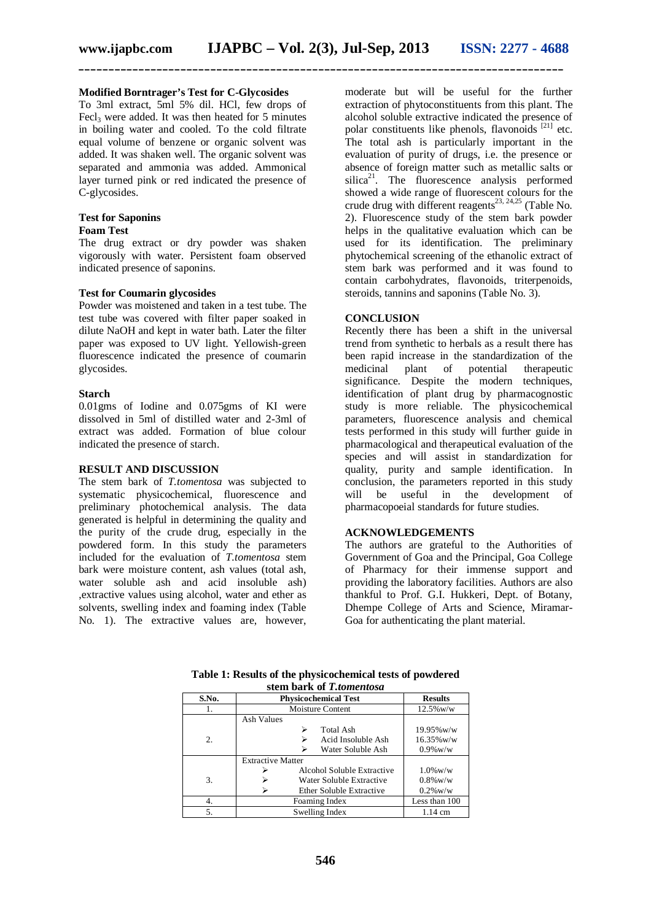**\_\_\_\_\_\_\_\_\_\_\_\_\_\_\_\_\_\_\_\_\_\_\_\_\_\_\_\_\_\_\_\_\_\_\_\_\_\_\_\_\_\_\_\_\_\_\_\_\_\_\_\_\_\_\_\_\_\_\_\_\_\_\_\_\_\_\_\_\_\_\_\_\_\_\_\_\_\_\_\_\_**

### **Modified Borntrager's Test for C-Glycosides**

To 3ml extract, 5ml 5% dil. HCl, few drops of Fecl<sub>2</sub> were added. It was then heated for 5 minutes in boiling water and cooled. To the cold filtrate equal volume of benzene or organic solvent was added. It was shaken well. The organic solvent was separated and ammonia was added. Ammonical layer turned pink or red indicated the presence of C-glycosides.

# **Test for Saponins**

# **Foam Test**

The drug extract or dry powder was shaken vigorously with water. Persistent foam observed indicated presence of saponins.

#### **Test for Coumarin glycosides**

Powder was moistened and taken in a test tube. The test tube was covered with filter paper soaked in dilute NaOH and kept in water bath. Later the filter paper was exposed to UV light. Yellowish-green fluorescence indicated the presence of coumarin glycosides.

#### **Starch**

0.01gms of Iodine and 0.075gms of KI were dissolved in 5ml of distilled water and 2-3ml of extract was added. Formation of blue colour indicated the presence of starch.

#### **RESULT AND DISCUSSION**

The stem bark of *T.tomentosa* was subjected to systematic physicochemical, fluorescence and preliminary photochemical analysis. The data generated is helpful in determining the quality and the purity of the crude drug, especially in the powdered form. In this study the parameters included for the evaluation of *T.tomentosa* stem bark were moisture content, ash values (total ash, water soluble ash and acid insoluble ash) ,extractive values using alcohol, water and ether as solvents, swelling index and foaming index (Table No. 1). The extractive values are, however,

moderate but will be useful for the further extraction of phytoconstituents from this plant. The alcohol soluble extractive indicated the presence of polar constituents like phenols, flavonoids [21] etc. The total ash is particularly important in the evaluation of purity of drugs, i.e. the presence or absence of foreign matter such as metallic salts or  $silica<sup>21</sup>$ . The fluorescence analysis performed showed a wide range of fluorescent colours for the crude drug with different reagents<sup>23, 24,25</sup> (Table No. 2). Fluorescence study of the stem bark powder helps in the qualitative evaluation which can be used for its identification. The preliminary phytochemical screening of the ethanolic extract of stem bark was performed and it was found to contain carbohydrates, flavonoids, triterpenoids, steroids, tannins and saponins (Table No. 3).

## **CONCLUSION**

Recently there has been a shift in the universal trend from synthetic to herbals as a result there has been rapid increase in the standardization of the medicinal plant of potential therapeutic significance. Despite the modern techniques, identification of plant drug by pharmacognostic study is more reliable. The physicochemical parameters, fluorescence analysis and chemical tests performed in this study will further guide in pharmacological and therapeutical evaluation of the species and will assist in standardization for quality, purity and sample identification. In conclusion, the parameters reported in this study will be useful in the development of pharmacopoeial standards for future studies.

### **ACKNOWLEDGEMENTS**

The authors are grateful to the Authorities of Government of Goa and the Principal, Goa College of Pharmacy for their immense support and providing the laboratory facilities. Authors are also thankful to Prof. G.I. Hukkeri, Dept. of Botany, Dhempe College of Arts and Science, Miramar-Goa for authenticating the plant material.

| $50.11$ Dalix Of 1.00/10010030 |                             |                |  |  |  |  |  |
|--------------------------------|-----------------------------|----------------|--|--|--|--|--|
| S.No.                          | <b>Physicochemical Test</b> | <b>Results</b> |  |  |  |  |  |
| 1.                             | <b>Moisture Content</b>     | $12.5\%$ w/w   |  |  |  |  |  |
|                                | Ash Values                  |                |  |  |  |  |  |
|                                | Total Ash<br>⋗              | 19.95%w/w      |  |  |  |  |  |
| 2.                             | Acid Insoluble Ash          | $16.35\%$ w/w  |  |  |  |  |  |
|                                | Water Soluble Ash           | $0.9\%$ w/w    |  |  |  |  |  |
|                                | <b>Extractive Matter</b>    |                |  |  |  |  |  |
|                                | Alcohol Soluble Extractive  | $1.0\%$ w/w    |  |  |  |  |  |
| 3.                             | Water Soluble Extractive    | $0.8\%$ w/w    |  |  |  |  |  |
|                                | Ether Soluble Extractive    | $0.2\%$ w/w    |  |  |  |  |  |
| 4.                             | Foaming Index               | Less than 100  |  |  |  |  |  |
| 5.                             | Swelling Index              | 1.14 cm        |  |  |  |  |  |

**Table 1: Results of the physicochemical tests of powdered stem bark of** *T.tomentosa*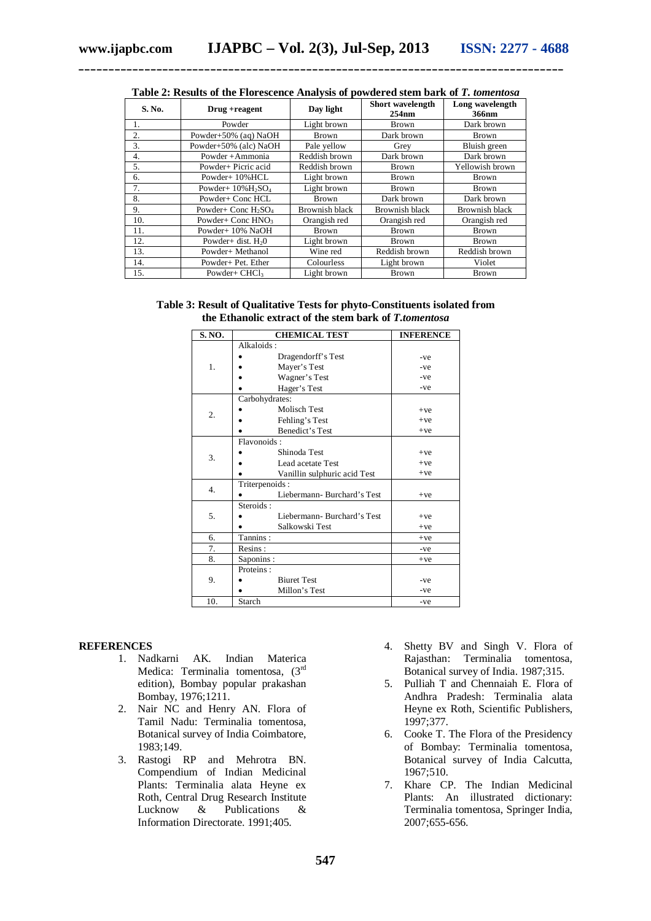| S. No. | Drug + reagent                                | Day light             | Short wavelength<br>254nm | Long wavelength<br>366nm |
|--------|-----------------------------------------------|-----------------------|---------------------------|--------------------------|
| l.     | Powder                                        | Light brown           | <b>Brown</b>              | Dark brown               |
| 2.     | Powder+50% (aq) NaOH                          | <b>Brown</b>          | Dark brown                | <b>Brown</b>             |
| 3.     | Powder+50% (alc) NaOH                         | Pale yellow           | Grey                      | Bluish green             |
| 4.     | Powder + Ammonia                              | Reddish brown         | Dark brown                | Dark brown               |
| 5.     | Powder+ Picric acid                           | Reddish brown         | <b>Brown</b>              | Yellowish brown          |
| 6.     | Powder+10%HCL                                 | Light brown           | <b>Brown</b>              | Brown                    |
| 7.     | Powder+ $10\%$ H <sub>2</sub> SO <sub>4</sub> | Light brown           | <b>Brown</b>              | <b>Brown</b>             |
| 8.     | Powder+ Conc HCL                              | <b>Brown</b>          | Dark brown                | Dark brown               |
| 9.     | Powder+ Conc $H_2SO_4$                        | <b>Brownish black</b> | Brownish black            | <b>Brownish black</b>    |
| 10.    | Powder+ Conc HNO <sub>3</sub>                 | Orangish red          | Orangish red              | Orangish red             |
| 11.    | Powder+10% NaOH                               | Brown                 | <b>Brown</b>              | Brown                    |
| 12.    | Powder+ dist. $H20$                           | Light brown           | <b>Brown</b>              | Brown                    |
| 13.    | Powder+ Methanol                              | Wine red              | Reddish brown             | Reddish brown            |
| 14.    | Powder+ Pet. Ether                            | Colourless            | Light brown               | Violet                   |
| 15.    | Powder+ $CHCl3$                               | Light brown           | <b>Brown</b>              | <b>Brown</b>             |

| Table 2: Results of the Florescence Analysis of powdered stem bark of T. tomentosa |  |  |
|------------------------------------------------------------------------------------|--|--|
|------------------------------------------------------------------------------------|--|--|

**Table 3: Result of Qualitative Tests for phyto-Constituents isolated from the Ethanolic extract of the stem bark of** *T.tomentosa*

| S. NO.           | <b>CHEMICAL TEST</b>         | <b>INFERENCE</b> |
|------------------|------------------------------|------------------|
| 1.               | Alkaloids:                   |                  |
|                  | Dragendorff's Test           | $-ve$            |
|                  | Mayer's Test                 | $-ve$            |
|                  | Wagner's Test                | $-ve$            |
|                  | Hager's Test                 | $-ve$            |
|                  | Carbohydrates:               |                  |
| 2.               | <b>Molisch Test</b>          | $+ve$            |
|                  | Fehling's Test               | $+ve$            |
|                  | Benedict's Test              | $+ve$            |
|                  | Flavonoids:                  |                  |
| 3.               | Shinoda Test                 | $+ve$            |
|                  | Lead acetate Test            | $+ve$            |
|                  | Vanillin sulphuric acid Test | $+ve$            |
| $\overline{4}$ . | Triterpenoids:               |                  |
|                  | Liebermann-Burchard's Test   | $+ve$            |
| 5.               | Steroids:                    |                  |
|                  | Liebermann-Burchard's Test   | $+ve$            |
|                  | Salkowski Test               | $+ve$            |
| 6.               | Tannins:                     | $+ve$            |
| 7.               | Resins:                      | -ve              |
| 8.               | Saponins:                    | $+ve$            |
| 9.               | Proteins:                    |                  |
|                  | <b>Biuret Test</b>           | -ve              |
|                  | Millon's Test                | -ve              |
| 10.              | Starch                       | $-ve$            |

#### **REFERENCES**

- 1. Nadkarni AK. Indian Materica Medica: Terminalia tomentosa, (3rd edition), Bombay popular prakashan Bombay, 1976;1211.
- 2. Nair NC and Henry AN. Flora of Tamil Nadu: Terminalia tomentosa, Botanical survey of India Coimbatore, 1983;149.
- 3. Rastogi RP and Mehrotra BN. Compendium of Indian Medicinal Plants: Terminalia alata Heyne ex Roth, Central Drug Research Institute<br>Lucknow & Publications & Lucknow & Publications & Information Directorate. 1991;405.
- 4. Shetty BV and Singh V. Flora of Rajasthan: Terminalia tomentosa, Botanical survey of India. 1987;315.
- 5. Pulliah T and Chennaiah E. Flora of Andhra Pradesh: Terminalia alata Heyne ex Roth, Scientific Publishers, 1997;377.
- 6. Cooke T. The Flora of the Presidency of Bombay: Terminalia tomentosa, Botanical survey of India Calcutta, 1967;510.
- 7. Khare CP. The Indian Medicinal Plants: An illustrated dictionary: Terminalia tomentosa, Springer India, 2007;655-656.